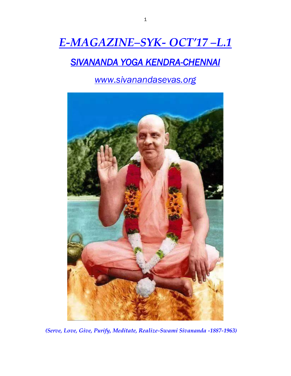# *E-MAGAZINE–SYK- OCT'17 –L.1*

# *SIVANANDA YOGA KENDRA-CHENNAI*

*www.sivanandasevas.org*



*(Serve, Love, Give, Purify, Meditate, Realize-Swami Sivananda -1887-1963)*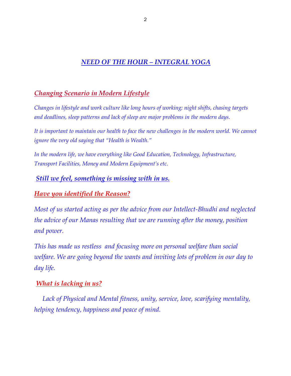# *NEED OF THE HOUR – INTEGRAL YOGA*

# *Changing Scenario in Modern Lifestyle*

*Changes in lifestyle and work culture like long hours of working; night shifts, chasing targets and deadlines, sleep patterns and lack of sleep are major problems in the modern days.*

It is important to maintain our health to face the new challenges in the modern world. We cannot *ignore the very old saying that "Health is Wealth."*

*In the modern life, we have everything like Good Education, Technology, Infrastructure, Transport Facilities, Money and Modern Equipment's etc.*

#### *Still we feel, something is missing with in us.*

# *Have you identified the Reason?*

*Most of us started acting as per the advice from our Intellect-Bhudhi and neglected the advice of our Manas resulting that we are running after the money, position and power.*

*This has made us restless and focusing more on personal welfare than social welfare. We are going beyond the wants and inviting lots of problem in our day to day life.* 

#### *What is lacking in us?*

 *Lack of Physical and Mental fitness, unity, service, love, scarifying mentality, helping tendency, happiness and peace of mind.*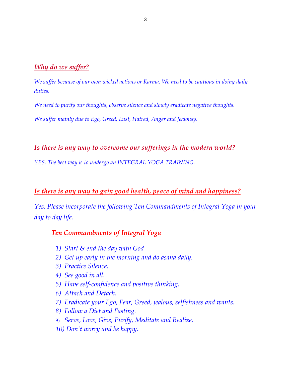#### *Why do we suffer?*

*We suffer because of our own wicked actions or Karma. We need to be cautious in doing daily duties.* 

*We need to purify our thoughts, observe silence and slowly eradicate negative thoughts.*

*We suffer mainly due to Ego, Greed, Lust, Hatred, Anger and Jealousy.*

#### *Is there is any way to overcome our sufferings in the modern world?*

*YES. The best way is to undergo an INTEGRAL YOGA TRAINING.*

# *Is there is any way to gain good health, peace of mind and happiness?*

*Yes. Please incorporate the following Ten Commandments of Integral Yoga in your day to day life.*

# *Ten Commandments of Integral Yoga*

- *1) Start & end the day with God*
- *2) Get up early in the morning and do asana daily.*
- *3) Practice Silence.*
- *4) See good in all.*
- *5) Have self-confidence and positive thinking.*
- *6) Attach and Detach.*
- *7) Eradicate your Ego, Fear, Greed, jealous, selfishness and wants.*
- *8) Follow a Diet and Fasting.*
- 9) *Serve, Love, Give, Purify, Meditate and Realize.*
- *10) Don't worry and be happy.*